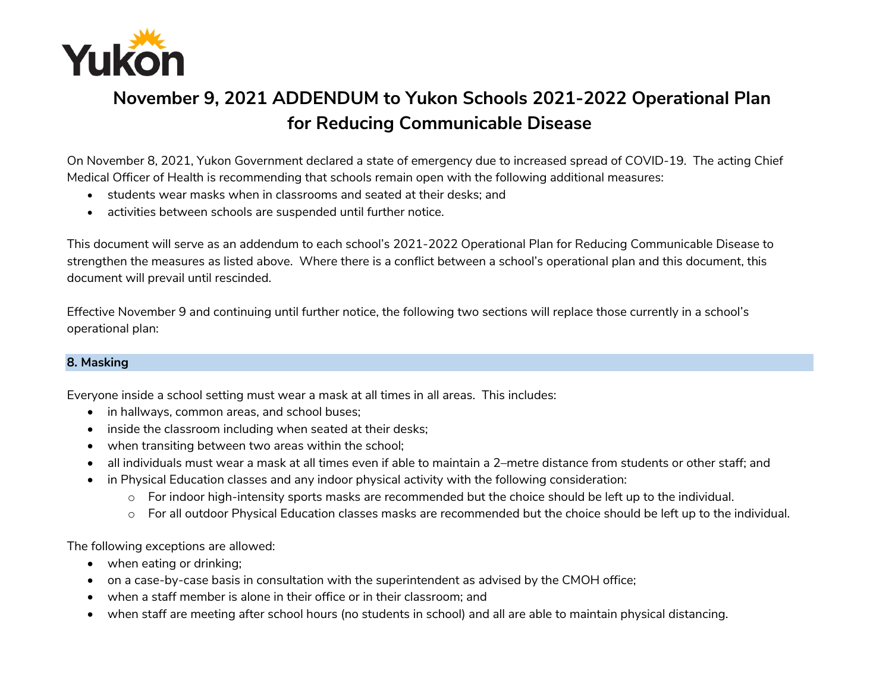

## **November 9, 2021 ADDENDUM to Yukon Schools 2021-2022 Operational Plan for Reducing Communicable Disease**

On November 8, 2021, Yukon Government declared a state of emergency due to increased spread of COVID-19. The acting Chief Medical Officer of Health is recommending that schools remain open with the following additional measures:

- students wear masks when in classrooms and seated at their desks; and
- activities between schools are suspended until further notice.

This document will serve as an addendum to each school's 2021-2022 Operational Plan for Reducing Communicable Disease to strengthen the measures as listed above. Where there is a conflict between a school's operational plan and this document, this document will prevail until rescinded.

Effective November 9 and continuing until further notice, the following two sections will replace those currently in a school's operational plan:

## **8. Masking**

Everyone inside a school setting must wear a mask at all times in all areas. This includes:

- in hallways, common areas, and school buses;
- inside the classroom including when seated at their desks;
- when transiting between two areas within the school;
- all individuals must wear a mask at all times even if able to maintain a 2–metre distance from students or other staff; and
- in Physical Education classes and any indoor physical activity with the following consideration:
	- o For indoor high-intensity sports masks are recommended but the choice should be left up to the individual.
	- o For all outdoor Physical Education classes masks are recommended but the choice should be left up to the individual.

The following exceptions are allowed:

- when eating or drinking;
- on a case-by-case basis in consultation with the superintendent as advised by the CMOH office;
- when a staff member is alone in their office or in their classroom; and
- when staff are meeting after school hours (no students in school) and all are able to maintain physical distancing.